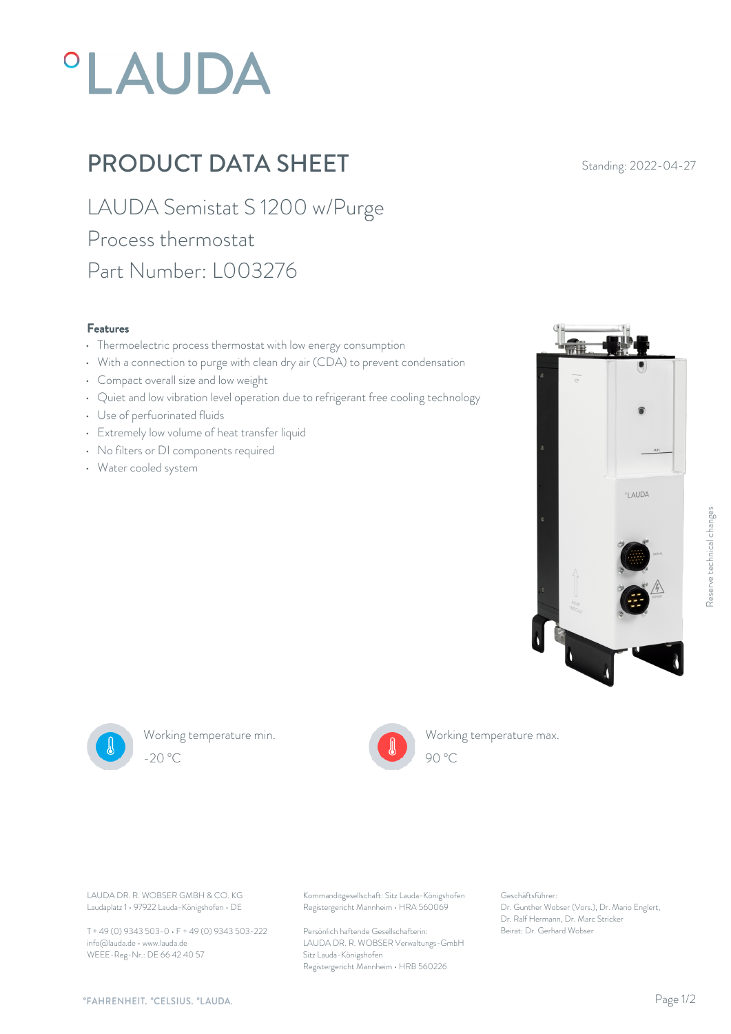# **°LAUDA**

## PRODUCT DATA SHEET Standing: 2022-04-27

LAUDA Semistat S 1200 w/Purge Process thermostat Part Number: L003276

#### Features

- Thermoelectric process thermostat with low energy consumption
- With a connection to purge with clean dry air (CDA) to prevent condensation
- Compact overall size and low weight
- Quiet and low vibration level operation due to refrigerant free cooling technology
- Use of perfuorinated fluids
- Extremely low volume of heat transfer liquid
- No filters or DI components required
- Water cooled system





Working temperature min. -20 °C 90 °C



Working temperature max. 90 °C

Laudaplatz 1 • 97922 Lauda-Königshofen • DE

T + 49 (0) 9343 503-0 • F + 49 (0) 9343 503-222 info@lauda.de • www.lauda.de WEEE-Reg-Nr.: DE 66 42 40 57

LAUDA DR. R. WOBSER GMBH & CO. KG Kommanditgesellschaft: Sitz Lauda-Königshofen Geschäftsführer: Registergericht Mannheim • HRA 560069

> Persönlich haftende Gesellschafterin: Beirat: Dr. Gerhard Wobse LAUDA DR. R. WOBSER Verwaltungs-GmbH Sitz Lauda-Königshofen Registergericht Mannheim • HRB 560226

Geschäftsführer: Dr. Gunther Wobser (Vors.), Dr. Mario Englert, Dr. Ralf Hermann, Dr. Marc Stricker